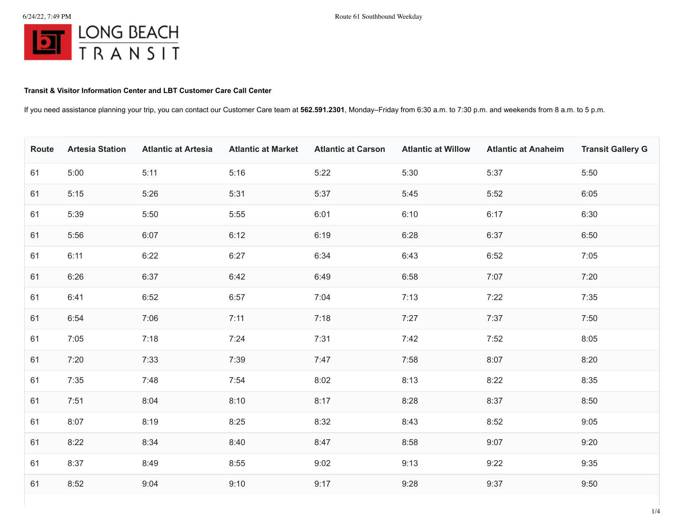## **Transit & Visitor Information Center and LBT Customer Care Call Center**

If you need assistance planning your trip, you can contact our Customer Care team at **562.591.2301**, Monday–Friday from 6:30 a.m. to 7:30 p.m. and weekends from 8 a.m. to 5 p.m.

| Route | <b>Artesia Station</b> | <b>Atlantic at Artesia</b> | <b>Atlantic at Market</b> | <b>Atlantic at Carson</b> | <b>Atlantic at Willow</b> | <b>Atlantic at Anaheim</b> | <b>Transit Gallery G</b> |
|-------|------------------------|----------------------------|---------------------------|---------------------------|---------------------------|----------------------------|--------------------------|
| 61    | 5:00                   | 5:11                       | 5:16                      | 5:22                      | 5:30                      | 5:37                       | 5:50                     |
| 61    | 5:15                   | 5:26                       | 5:31                      | 5:37                      | 5:45                      | 5:52                       | 6:05                     |
| 61    | 5:39                   | 5:50                       | 5:55                      | 6:01                      | 6:10                      | 6:17                       | 6:30                     |
| 61    | 5:56                   | 6:07                       | 6:12                      | 6:19                      | 6:28                      | 6:37                       | 6:50                     |
| 61    | 6:11                   | 6:22                       | 6:27                      | 6:34                      | 6:43                      | 6:52                       | 7:05                     |
| 61    | 6:26                   | 6:37                       | 6:42                      | 6:49                      | 6:58                      | 7:07                       | 7:20                     |
| 61    | 6:41                   | 6:52                       | 6:57                      | 7:04                      | 7:13                      | 7:22                       | 7:35                     |
| 61    | 6:54                   | 7:06                       | 7:11                      | 7:18                      | 7:27                      | 7:37                       | 7:50                     |
| 61    | 7:05                   | 7:18                       | 7:24                      | 7:31                      | 7:42                      | 7:52                       | 8:05                     |
| 61    | 7:20                   | 7:33                       | 7:39                      | 7:47                      | 7:58                      | 8:07                       | 8:20                     |
| 61    | 7:35                   | 7:48                       | 7:54                      | 8:02                      | 8:13                      | 8:22                       | 8:35                     |
| 61    | 7:51                   | 8:04                       | 8:10                      | 8:17                      | 8:28                      | 8:37                       | 8:50                     |
| 61    | 8:07                   | 8:19                       | 8:25                      | 8:32                      | 8:43                      | 8:52                       | 9:05                     |
| 61    | 8:22                   | 8:34                       | 8:40                      | 8:47                      | 8:58                      | 9:07                       | 9:20                     |
| 61    | 8:37                   | 8:49                       | 8:55                      | 9:02                      | 9:13                      | 9:22                       | 9:35                     |
| 61    | 8:52                   | 9:04                       | 9:10                      | 9:17                      | 9:28                      | 9:37                       | 9:50                     |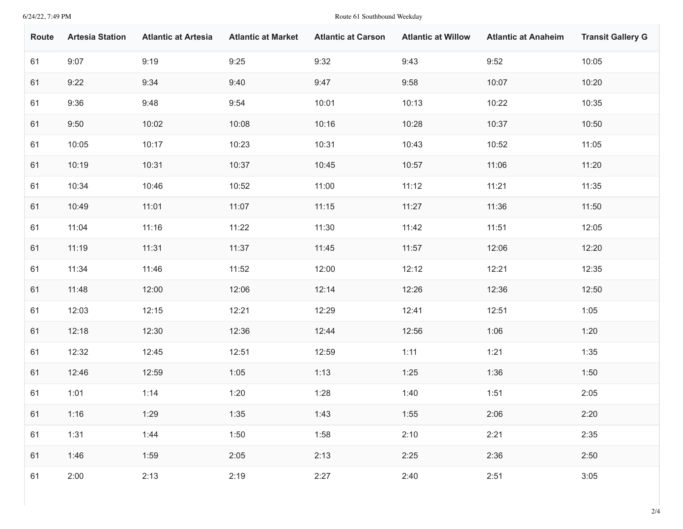## 6/24/22, 7:49 PM Route 61 Southbound Weekday

| Route | <b>Artesia Station</b> | <b>Atlantic at Artesia</b> | <b>Atlantic at Market</b> | <b>Atlantic at Carson</b> | <b>Atlantic at Willow</b> | <b>Atlantic at Anaheim</b> | <b>Transit Gallery G</b> |
|-------|------------------------|----------------------------|---------------------------|---------------------------|---------------------------|----------------------------|--------------------------|
| 61    | 9:07                   | 9:19                       | 9:25                      | 9:32                      | 9:43                      | 9:52                       | 10:05                    |
| 61    | 9:22                   | 9:34                       | 9:40                      | 9:47                      | 9:58                      | 10:07                      | 10:20                    |
| 61    | 9:36                   | 9:48                       | 9:54                      | 10:01                     | 10:13                     | 10:22                      | 10:35                    |
| 61    | 9:50                   | 10:02                      | 10:08                     | 10:16                     | 10:28                     | 10:37                      | 10:50                    |
| 61    | 10:05                  | 10:17                      | 10:23                     | 10:31                     | 10:43                     | 10:52                      | 11:05                    |
| 61    | 10:19                  | 10:31                      | 10:37                     | 10:45                     | 10:57                     | 11:06                      | 11:20                    |
| 61    | 10:34                  | 10:46                      | 10:52                     | 11:00                     | 11:12                     | 11:21                      | 11:35                    |
| 61    | 10:49                  | 11:01                      | 11:07                     | 11:15                     | 11:27                     | 11:36                      | 11:50                    |
| 61    | 11:04                  | 11:16                      | 11:22                     | 11:30                     | 11:42                     | 11:51                      | 12:05                    |
| 61    | 11:19                  | 11:31                      | 11:37                     | 11:45                     | 11:57                     | 12:06                      | 12:20                    |
| 61    | 11:34                  | 11:46                      | 11:52                     | 12:00                     | 12:12                     | 12:21                      | 12:35                    |
| 61    | 11:48                  | 12:00                      | 12:06                     | 12:14                     | 12:26                     | 12:36                      | 12:50                    |
| 61    | 12:03                  | 12:15                      | 12:21                     | 12:29                     | 12:41                     | 12:51                      | 1:05                     |
| 61    | 12:18                  | 12:30                      | 12:36                     | 12:44                     | 12:56                     | 1:06                       | 1:20                     |
| 61    | 12:32                  | 12:45                      | 12:51                     | 12:59                     | 1:11                      | 1:21                       | 1:35                     |
| 61    | 12:46                  | 12:59                      | 1:05                      | 1:13                      | 1:25                      | 1:36                       | 1:50                     |
| 61    | 1:01                   | 1:14                       | 1:20                      | 1:28                      | 1:40                      | 1:51                       | 2:05                     |
| 61    | 1:16                   | 1:29                       | 1:35                      | 1:43                      | 1:55                      | 2:06                       | 2:20                     |
| 61    | 1:31                   | 1:44                       | 1:50                      | 1:58                      | 2:10                      | 2:21                       | 2:35                     |
| 61    | 1:46                   | 1:59                       | 2:05                      | 2:13                      | 2:25                      | 2:36                       | 2:50                     |
| 61    | 2:00                   | 2:13                       | 2:19                      | 2:27                      | 2:40                      | 2:51                       | 3:05                     |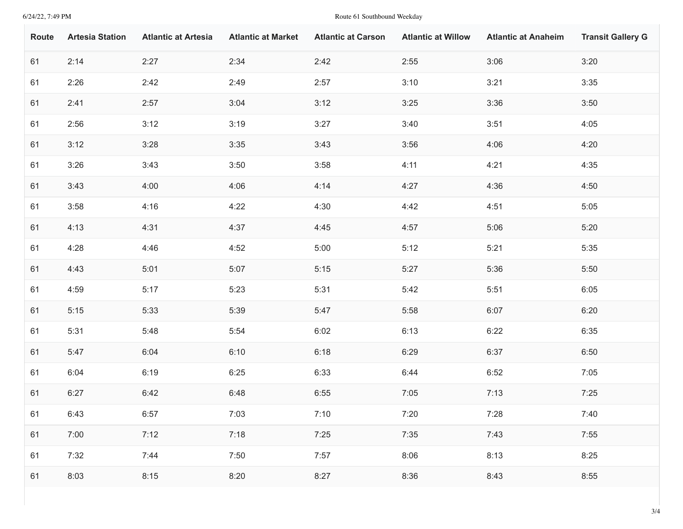## 6/24/22, 7:49 PM Route 61 Southbound Weekday

| Route | <b>Artesia Station</b> | <b>Atlantic at Artesia</b> | <b>Atlantic at Market</b> | <b>Atlantic at Carson</b> | <b>Atlantic at Willow</b> | <b>Atlantic at Anaheim</b> | <b>Transit Gallery G</b> |
|-------|------------------------|----------------------------|---------------------------|---------------------------|---------------------------|----------------------------|--------------------------|
| 61    | 2:14                   | 2:27                       | 2:34                      | 2:42                      | 2:55                      | 3:06                       | 3:20                     |
| 61    | 2:26                   | 2:42                       | 2:49                      | 2:57                      | 3:10                      | 3:21                       | 3:35                     |
| 61    | 2:41                   | 2:57                       | 3:04                      | 3:12                      | 3:25                      | 3:36                       | 3:50                     |
| 61    | 2:56                   | 3:12                       | 3:19                      | 3:27                      | 3:40                      | 3:51                       | 4:05                     |
| 61    | 3:12                   | 3:28                       | 3:35                      | 3:43                      | 3:56                      | 4:06                       | 4:20                     |
| 61    | 3:26                   | 3:43                       | 3:50                      | 3:58                      | 4:11                      | 4:21                       | 4:35                     |
| 61    | 3:43                   | 4:00                       | 4:06                      | 4:14                      | 4:27                      | 4:36                       | 4:50                     |
| 61    | 3:58                   | 4:16                       | 4:22                      | 4:30                      | 4:42                      | 4:51                       | 5:05                     |
| 61    | 4:13                   | 4:31                       | 4:37                      | 4:45                      | 4:57                      | 5:06                       | 5:20                     |
| 61    | 4:28                   | 4:46                       | 4:52                      | 5:00                      | 5:12                      | 5:21                       | 5:35                     |
| 61    | 4:43                   | 5:01                       | 5:07                      | 5:15                      | 5:27                      | 5:36                       | 5:50                     |
| 61    | 4:59                   | 5:17                       | 5:23                      | 5:31                      | 5:42                      | 5:51                       | 6:05                     |
| 61    | 5:15                   | 5:33                       | 5:39                      | 5:47                      | 5:58                      | 6:07                       | 6:20                     |
| 61    | 5:31                   | 5:48                       | 5:54                      | 6:02                      | 6:13                      | 6:22                       | 6:35                     |
| 61    | 5:47                   | 6:04                       | 6:10                      | 6:18                      | 6:29                      | 6:37                       | 6:50                     |
| 61    | 6:04                   | 6:19                       | 6:25                      | 6:33                      | 6:44                      | 6:52                       | 7:05                     |
| 61    | 6:27                   | 6:42                       | 6:48                      | 6:55                      | 7:05                      | 7:13                       | 7:25                     |
| 61    | 6:43                   | 6:57                       | 7:03                      | 7:10                      | 7:20                      | 7:28                       | 7:40                     |
| 61    | 7:00                   | 7:12                       | 7:18                      | 7:25                      | 7:35                      | 7:43                       | 7:55                     |
| 61    | 7:32                   | 7:44                       | 7:50                      | 7:57                      | 8:06                      | 8:13                       | 8:25                     |
| 61    | 8:03                   | 8:15                       | 8:20                      | 8:27                      | 8:36                      | 8:43                       | 8:55                     |